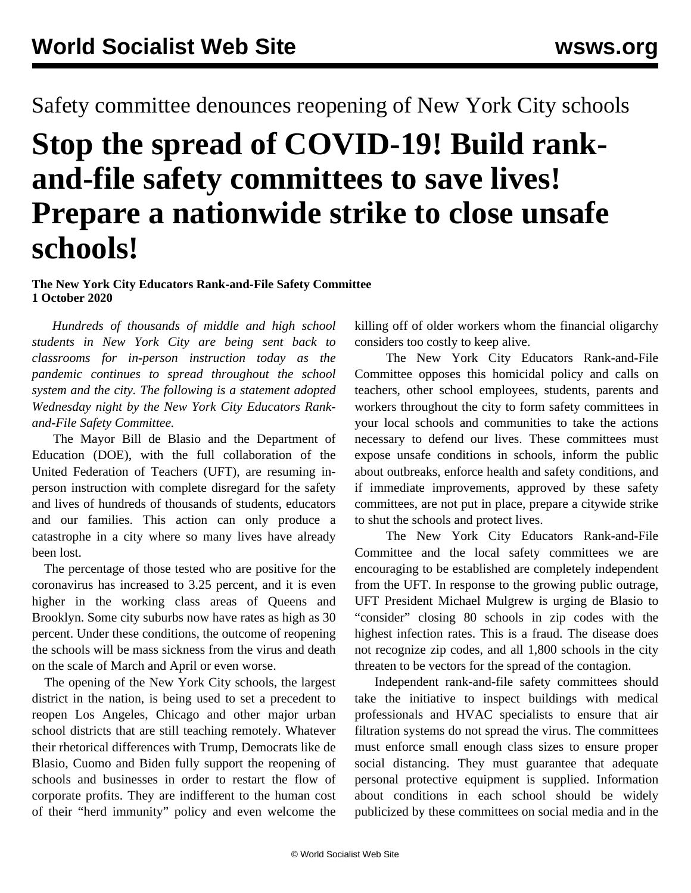Safety committee denounces reopening of New York City schools

## **Stop the spread of COVID-19! Build rankand-file safety committees to save lives! Prepare a nationwide strike to close unsafe schools!**

## **The New York City Educators Rank-and-File Safety Committee 1 October 2020**

 *Hundreds of thousands of middle and high school students in New York City are being sent back to classrooms for in-person instruction today as the pandemic continues to spread throughout the school system and the city. The following is a statement adopted Wednesday night by the New York City Educators Rankand-File Safety Committee.*

 The Mayor Bill de Blasio and the Department of Education (DOE), with the full collaboration of the United Federation of Teachers (UFT), are resuming inperson instruction with complete disregard for the safety and lives of hundreds of thousands of students, educators and our families. This action can only produce a catastrophe in a city where so many lives have already been lost.

 The percentage of those tested who are positive for the coronavirus has increased to 3.25 percent, and it is even higher in the working class areas of Queens and Brooklyn. Some city suburbs now have rates as high as 30 percent. Under these conditions, the outcome of reopening the schools will be mass sickness from the virus and death on the scale of March and April or even worse.

 The opening of the New York City schools, the largest district in the nation, is being used to set a precedent to reopen Los Angeles, Chicago and other major urban school districts that are still teaching remotely. Whatever their rhetorical differences with Trump, Democrats like de Blasio, Cuomo and Biden fully support the reopening of schools and businesses in order to restart the flow of corporate profits. They are indifferent to the human cost of their "herd immunity" policy and even welcome the

killing off of older workers whom the financial oligarchy considers too costly to keep alive.

 The New York City Educators Rank-and-File Committee opposes this homicidal policy and calls on teachers, other school employees, students, parents and workers throughout the city to form safety committees in your local schools and communities to take the actions necessary to defend our lives. These committees must expose unsafe conditions in schools, inform the public about outbreaks, enforce health and safety conditions, and if immediate improvements, approved by these safety committees, are not put in place, prepare a citywide strike to shut the schools and protect lives.

 The New York City Educators Rank-and-File Committee and the local safety committees we are encouraging to be established are completely independent from the UFT. In response to the growing public outrage, UFT President Michael Mulgrew is urging de Blasio to "consider" closing 80 schools in zip codes with the highest infection rates. This is a fraud. The disease does not recognize zip codes, and all 1,800 schools in the city threaten to be vectors for the spread of the contagion.

 Independent rank-and-file safety committees should take the initiative to inspect buildings with medical professionals and HVAC specialists to ensure that air filtration systems do not spread the virus. The committees must enforce small enough class sizes to ensure proper social distancing. They must guarantee that adequate personal protective equipment is supplied. Information about conditions in each school should be widely publicized by these committees on social media and in the